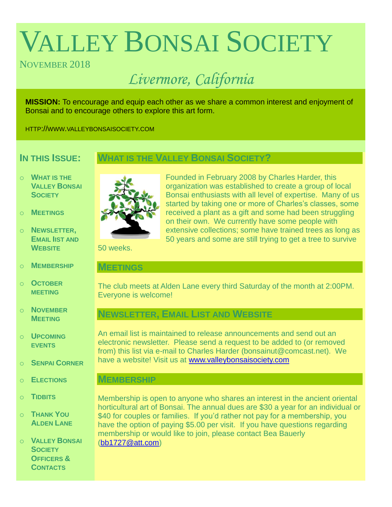# VALLEY BONSAI SOCIETY

# NOVEMBER 2018

# *Livermore, California*

**MISSION:** To encourage and equip each other as we share a common interest and enjoyment of Bonsai and to encourage others to explore this art form.

HTTP://WWW.VALLEYBONSAISOCIETY.COM

# **IN THIS ISSUE:**

## **WHAT IS THE VALLEY BONSAI SOCIETY?**

- o **WHAT IS THE VALLEY BONSAI SOCIETY**
- o **MEETINGS**
- o **NEWSLETTER, EMAIL IIST AND WEBSITE**
- o **MEMBERSHIP**
- o **OCTOBER MEETING**
- o **NOVEMBER MEETING**
- o **UPCOMING EVENTS**
- o **SENPAI CORNER**
- o **ELECTIONS**
- o **TIDBITS**
- o **THANK YOU ALDEN LANE**

o **VALLEY BONSAI SOCIETY OFFICERS & CONTACTS**



Founded in February 2008 by Charles Harder, this organization was established to create a group of local Bonsai enthusiasts with all level of expertise. Many of us started by taking one or more of Charles's classes, some received a plant as a gift and some had been struggling on their own. We currently have some people with extensive collections; some have trained trees as long as 50 years and some are still trying to get a tree to survive

50 weeks.

#### **MEETINGS**

The club meets at Alden Lane every third Saturday of the month at 2:00PM. Everyone is welcome!

# **NEWSLETTER, EMAIL LIST AND WEBSITE**

An email list is maintained to release announcements and send out an electronic newsletter. Please send a request to be added to (or removed from) this list via e-mail to Charles Harder (bonsainut@comcast.net). We have a website! Visit us at [www.valleybonsaisociety.com](http://www.valleybonsaisociety.com/)

#### **MEMBERSHIP**

Membership is open to anyone who shares an interest in the ancient oriental horticultural art of Bonsai. The annual dues are \$30 a year for an individual or \$40 for couples or families. If you'd rather not pay for a membership, you have the option of paying \$5.00 per visit. If you have questions regarding membership or would like to join, please contact Bea Bauerly [\(bb1727@att.com\)](mailto:bb1727@att.com)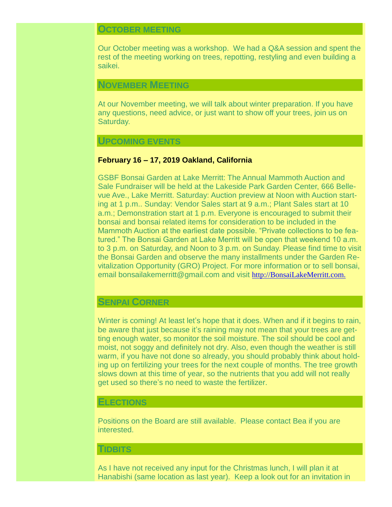#### **OCTOBER MEETING**

Our October meeting was a workshop. We had a Q&A session and spent the rest of the meeting working on trees, repotting, restyling and even building a saikei.

#### **NOVEMBER MEETING**

At our November meeting, we will talk about winter preparation. If you have any questions, need advice, or just want to show off your trees, join us on Saturday.

#### **UPCOMING EVENTS**

#### **February 16 – 17, 2019 Oakland, California**

GSBF Bonsai Garden at Lake Merritt: The Annual Mammoth Auction and Sale Fundraiser will be held at the Lakeside Park Garden Center, 666 Bellevue Ave., Lake Merritt. Saturday: Auction preview at Noon with Auction starting at 1 p.m.. Sunday: Vendor Sales start at 9 a.m.; Plant Sales start at 10 a.m.; Demonstration start at 1 p.m. Everyone is encouraged to submit their bonsai and bonsai related items for consideration to be included in the Mammoth Auction at the earliest date possible. "Private collections to be featured." The Bonsai Garden at Lake Merritt will be open that weekend 10 a.m. to 3 p.m. on Saturday, and Noon to 3 p.m. on Sunday. Please find time to visit the Bonsai Garden and observe the many installments under the Garden Revitalization Opportunity (GRO) Project. For more information or to sell bonsai, email bonsailakemerritt@gmail.com and visit [http://BonsaiLakeMerritt.com.](http://bonsailakemerritt.com./)

#### **SENPAI CORNER**

Winter is coming! At least let's hope that it does. When and if it begins to rain, be aware that just because it's raining may not mean that your trees are getting enough water, so monitor the soil moisture. The soil should be cool and moist, not soggy and definitely not dry. Also, even though the weather is still warm, if you have not done so already, you should probably think about holding up on fertilizing your trees for the next couple of months. The tree growth slows down at this time of year, so the nutrients that you add will not really get used so there's no need to waste the fertilizer.

#### **ELECTIONS**

Positions on the Board are still available. Please contact Bea if you are interested.

#### **TIDBITS**

As I have not received any input for the Christmas lunch, I will plan it at Hanabishi (same location as last year). Keep a look out for an invitation in